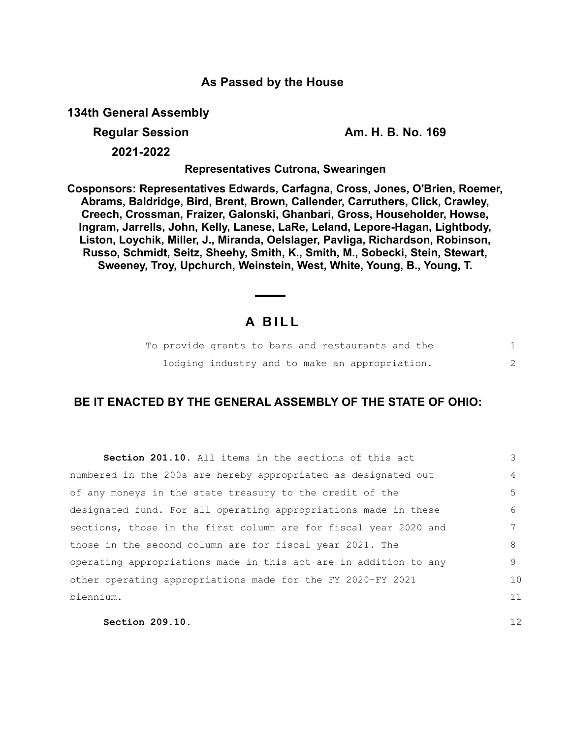### **As Passed by the House**

**134th General Assembly**

**Regular Session Am. H. B. No. 169**

12

**2021-2022**

**Representatives Cutrona, Swearingen**

**Cosponsors: Representatives Edwards, Carfagna, Cross, Jones, O'Brien, Roemer, Abrams, Baldridge, Bird, Brent, Brown, Callender, Carruthers, Click, Crawley, Creech, Crossman, Fraizer, Galonski, Ghanbari, Gross, Householder, Howse, Ingram, Jarrells, John, Kelly, Lanese, LaRe, Leland, Lepore-Hagan, Lightbody, Liston, Loychik, Miller, J., Miranda, Oelslager, Pavliga, Richardson, Robinson, Russo, Schmidt, Seitz, Sheehy, Smith, K., Smith, M., Sobecki, Stein, Stewart, Sweeney, Troy, Upchurch, Weinstein, West, White, Young, B., Young, T.**

# **A B I L L**

|  |  | To provide grants to bars and restaurants and the |  |
|--|--|---------------------------------------------------|--|
|  |  | lodging industry and to make an appropriation.    |  |

## **BE IT ENACTED BY THE GENERAL ASSEMBLY OF THE STATE OF OHIO:**

| <b>Section 201.10.</b> All items in the sections of this act     | 3              |
|------------------------------------------------------------------|----------------|
| numbered in the 200s are hereby appropriated as designated out   | $\overline{4}$ |
| of any moneys in the state treasury to the credit of the         | 5 <sup>5</sup> |
| designated fund. For all operating appropriations made in these  | 6              |
| sections, those in the first column are for fiscal year 2020 and | 7              |
| those in the second column are for fiscal year 2021. The         | 8              |
| operating appropriations made in this act are in addition to any | 9              |
| other operating appropriations made for the FY 2020-FY 2021      | 10             |
| biennium.                                                        | 11             |
|                                                                  |                |

**Section 209.10.**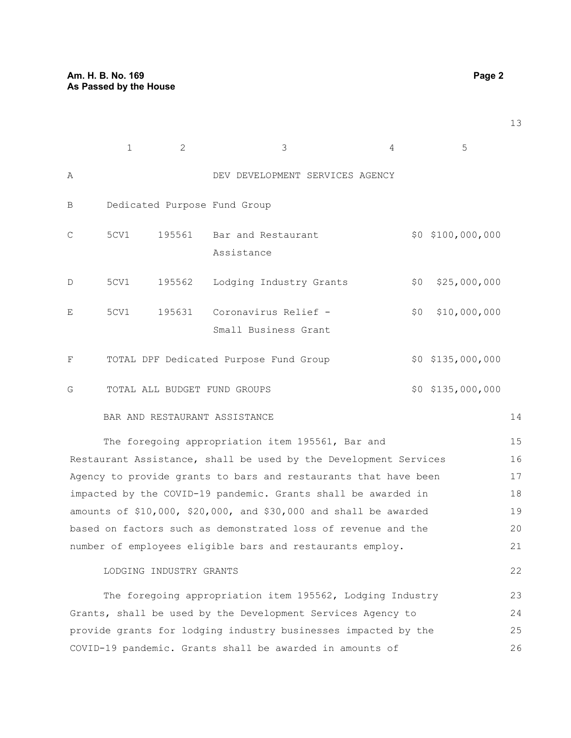|             | $\mathbf{1}$ | 2      | 3                                            | 4   | 5                   |
|-------------|--------------|--------|----------------------------------------------|-----|---------------------|
| Α           |              |        | DEV DEVELOPMENT SERVICES AGENCY              |     |                     |
| B           |              |        | Dedicated Purpose Fund Group                 |     |                     |
| C           | 5CV1         | 195561 | Bar and Restaurant<br>Assistance             |     | $$0$ $$100,000,000$ |
| $\mathbb D$ | 5CV1         | 195562 | Lodging Industry Grants                      | \$0 | \$25,000,000        |
| E           | 5CV1         | 195631 | Coronavirus Relief -<br>Small Business Grant | \$0 | \$10,000,000        |
| F           |              |        | TOTAL DPF Dedicated Purpose Fund Group       |     | $$0$ $$135,000,000$ |
| G           |              |        | TOTAL ALL BUDGET FUND GROUPS                 |     | $$0$ $$135,000,000$ |

#### BAR AND RESTAURANT ASSISTANCE

14

22

The foregoing appropriation item 195561, Bar and Restaurant Assistance, shall be used by the Development Services Agency to provide grants to bars and restaurants that have been impacted by the COVID-19 pandemic. Grants shall be awarded in amounts of \$10,000, \$20,000, and \$30,000 and shall be awarded based on factors such as demonstrated loss of revenue and the number of employees eligible bars and restaurants employ. 15 16 17 18 19 20 21

#### LODGING INDUSTRY GRANTS

The foregoing appropriation item 195562, Lodging Industry Grants, shall be used by the Development Services Agency to provide grants for lodging industry businesses impacted by the COVID-19 pandemic. Grants shall be awarded in amounts of 23 24 25 26

13